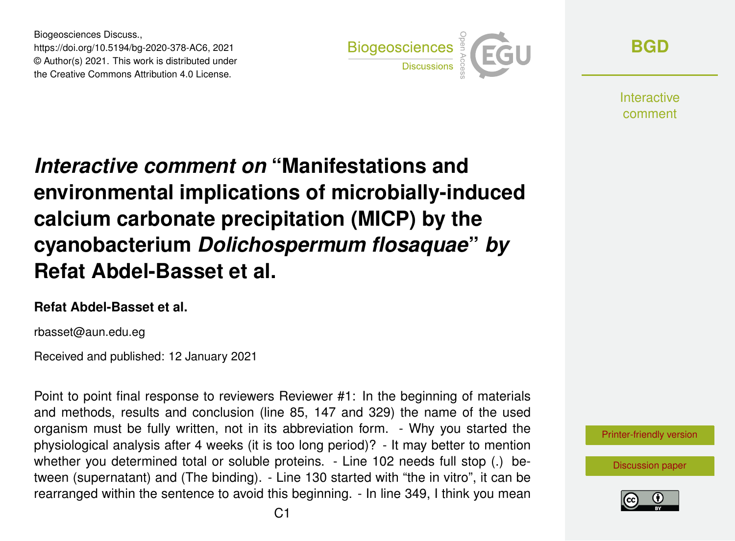Biogeosciences Discuss., https://doi.org/10.5194/bg-2020-378-AC6, 2021 © Author(s) 2021. This work is distributed under the Creative Commons Attribution 4.0 License.



**[BGD](https://bg.copernicus.org/preprints/)**

**Interactive** comment

# *Interactive comment on* **"Manifestations and environmental implications of microbially-induced calcium carbonate precipitation (MICP) by the cyanobacterium** *Dolichospermum flosaquae***"** *by* **Refat Abdel-Basset et al.**

#### **Refat Abdel-Basset et al.**

rbasset@aun.edu.eg

Received and published: 12 January 2021

Point to point final response to reviewers Reviewer #1: In the beginning of materials and methods, results and conclusion (line 85, 147 and 329) the name of the used organism must be fully written, not in its abbreviation form. - Why you started the physiological analysis after 4 weeks (it is too long period)? - It may better to mention whether you determined total or soluble proteins. - Line 102 needs full stop (.) between (supernatant) and (The binding). - Line 130 started with "the in vitro", it can be rearranged within the sentence to avoid this beginning. - In line 349, I think you mean



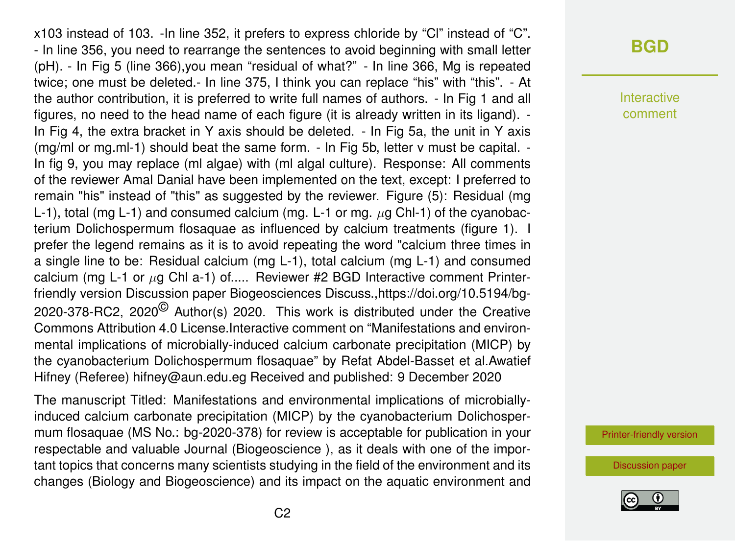x103 instead of 103. -In line 352, it prefers to express chloride by "Cl" instead of "C". - In line 356, you need to rearrange the sentences to avoid beginning with small letter (pH). - In Fig 5 (line 366),you mean "residual of what?" - In line 366, Mg is repeated twice; one must be deleted.- In line 375, I think you can replace "his" with "this". - At the author contribution, it is preferred to write full names of authors. - In Fig 1 and all figures, no need to the head name of each figure (it is already written in its ligand). - In Fig 4, the extra bracket in Y axis should be deleted. - In Fig 5a, the unit in Y axis (mg/ml or mg.ml-1) should beat the same form. - In Fig 5b, letter v must be capital. - In fig 9, you may replace (ml algae) with (ml algal culture). Response: All comments of the reviewer Amal Danial have been implemented on the text, except: I preferred to remain "his" instead of "this" as suggested by the reviewer. Figure (5): Residual (mg L-1), total (mg L-1) and consumed calcium (mg. L-1 or mg.  $\mu$ g Chl-1) of the cyanobacterium Dolichospermum flosaquae as influenced by calcium treatments (figure 1). I prefer the legend remains as it is to avoid repeating the word "calcium three times in a single line to be: Residual calcium (mg L-1), total calcium (mg L-1) and consumed calcium (mg L-1 or  $\mu$ g Chl a-1) of..... Reviewer #2 BGD Interactive comment Printerfriendly version Discussion paper Biogeosciences Discuss.,https://doi.org/10.5194/bg-2020-378-RC2, 2020<sup>©</sup> Author(s) 2020. This work is distributed under the Creative Commons Attribution 4.0 License.Interactive comment on "Manifestations and environmental implications of microbially-induced calcium carbonate precipitation (MICP) by the cyanobacterium Dolichospermum flosaquae" by Refat Abdel-Basset et al.Awatief Hifney (Referee) hifney@aun.edu.eg Received and published: 9 December 2020

The manuscript Titled: Manifestations and environmental implications of microbiallyinduced calcium carbonate precipitation (MICP) by the cyanobacterium Dolichospermum flosaquae (MS No.: bg-2020-378) for review is acceptable for publication in your respectable and valuable Journal (Biogeoscience ), as it deals with one of the important topics that concerns many scientists studying in the field of the environment and its changes (Biology and Biogeoscience) and its impact on the aquatic environment and

# **[BGD](https://bg.copernicus.org/preprints/)**

Interactive comment

[Printer-friendly version](https://bg.copernicus.org/preprints/bg-2020-378/bg-2020-378-AC6-print.pdf)

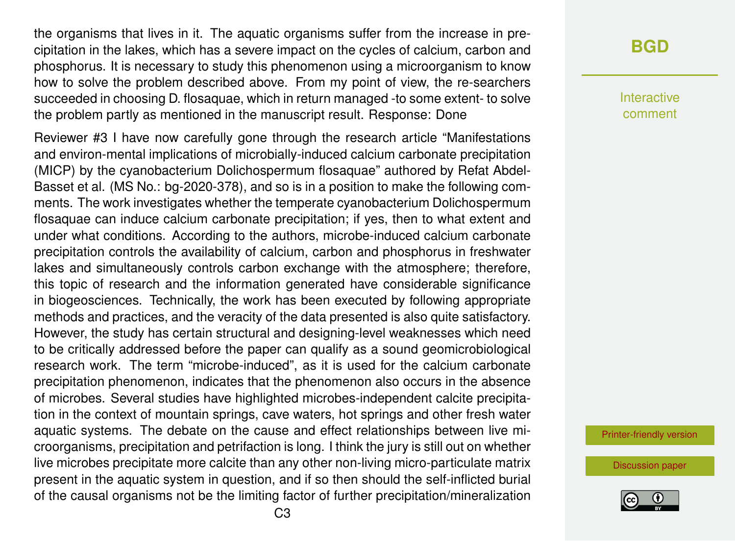the organisms that lives in it. The aquatic organisms suffer from the increase in precipitation in the lakes, which has a severe impact on the cycles of calcium, carbon and phosphorus. It is necessary to study this phenomenon using a microorganism to know how to solve the problem described above. From my point of view, the re-searchers succeeded in choosing D. flosaquae, which in return managed -to some extent- to solve the problem partly as mentioned in the manuscript result. Response: Done

Reviewer #3 I have now carefully gone through the research article "Manifestations and environ-mental implications of microbially-induced calcium carbonate precipitation (MICP) by the cyanobacterium Dolichospermum flosaquae" authored by Refat Abdel-Basset et al. (MS No.: bg-2020-378), and so is in a position to make the following comments. The work investigates whether the temperate cyanobacterium Dolichospermum flosaquae can induce calcium carbonate precipitation; if yes, then to what extent and under what conditions. According to the authors, microbe-induced calcium carbonate precipitation controls the availability of calcium, carbon and phosphorus in freshwater lakes and simultaneously controls carbon exchange with the atmosphere; therefore, this topic of research and the information generated have considerable significance in biogeosciences. Technically, the work has been executed by following appropriate methods and practices, and the veracity of the data presented is also quite satisfactory. However, the study has certain structural and designing-level weaknesses which need to be critically addressed before the paper can qualify as a sound geomicrobiological research work. The term "microbe-induced", as it is used for the calcium carbonate precipitation phenomenon, indicates that the phenomenon also occurs in the absence of microbes. Several studies have highlighted microbes-independent calcite precipitation in the context of mountain springs, cave waters, hot springs and other fresh water aquatic systems. The debate on the cause and effect relationships between live microorganisms, precipitation and petrifaction is long. I think the jury is still out on whether live microbes precipitate more calcite than any other non-living micro-particulate matrix present in the aquatic system in question, and if so then should the self-inflicted burial of the causal organisms not be the limiting factor of further precipitation/mineralization

#### **[BGD](https://bg.copernicus.org/preprints/)**

Interactive comment

[Printer-friendly version](https://bg.copernicus.org/preprints/bg-2020-378/bg-2020-378-AC6-print.pdf)

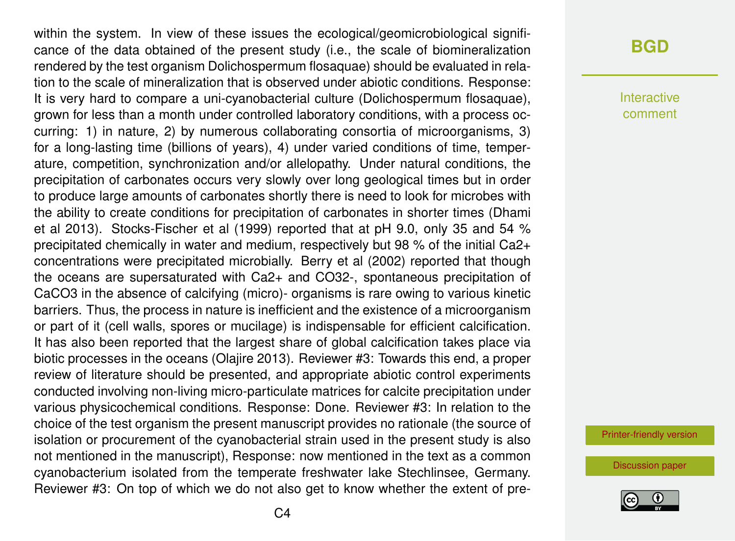within the system. In view of these issues the ecological/geomicrobiological significance of the data obtained of the present study (i.e., the scale of biomineralization rendered by the test organism Dolichospermum flosaquae) should be evaluated in relation to the scale of mineralization that is observed under abiotic conditions. Response: It is very hard to compare a uni-cyanobacterial culture (Dolichospermum flosaquae), grown for less than a month under controlled laboratory conditions, with a process occurring: 1) in nature, 2) by numerous collaborating consortia of microorganisms, 3) for a long-lasting time (billions of years), 4) under varied conditions of time, temperature, competition, synchronization and/or allelopathy. Under natural conditions, the precipitation of carbonates occurs very slowly over long geological times but in order to produce large amounts of carbonates shortly there is need to look for microbes with the ability to create conditions for precipitation of carbonates in shorter times (Dhami et al 2013). Stocks-Fischer et al (1999) reported that at pH 9.0, only 35 and 54 % precipitated chemically in water and medium, respectively but 98 % of the initial Ca2+ concentrations were precipitated microbially. Berry et al (2002) reported that though the oceans are supersaturated with Ca2+ and CO32-, spontaneous precipitation of CaCO3 in the absence of calcifying (micro)- organisms is rare owing to various kinetic barriers. Thus, the process in nature is inefficient and the existence of a microorganism or part of it (cell walls, spores or mucilage) is indispensable for efficient calcification. It has also been reported that the largest share of global calcification takes place via biotic processes in the oceans (Olajire 2013). Reviewer #3: Towards this end, a proper review of literature should be presented, and appropriate abiotic control experiments conducted involving non-living micro-particulate matrices for calcite precipitation under various physicochemical conditions. Response: Done. Reviewer #3: In relation to the choice of the test organism the present manuscript provides no rationale (the source of isolation or procurement of the cyanobacterial strain used in the present study is also not mentioned in the manuscript), Response: now mentioned in the text as a common cyanobacterium isolated from the temperate freshwater lake Stechlinsee, Germany. Reviewer #3: On top of which we do not also get to know whether the extent of pre-

#### **[BGD](https://bg.copernicus.org/preprints/)**

Interactive comment

[Printer-friendly version](https://bg.copernicus.org/preprints/bg-2020-378/bg-2020-378-AC6-print.pdf)

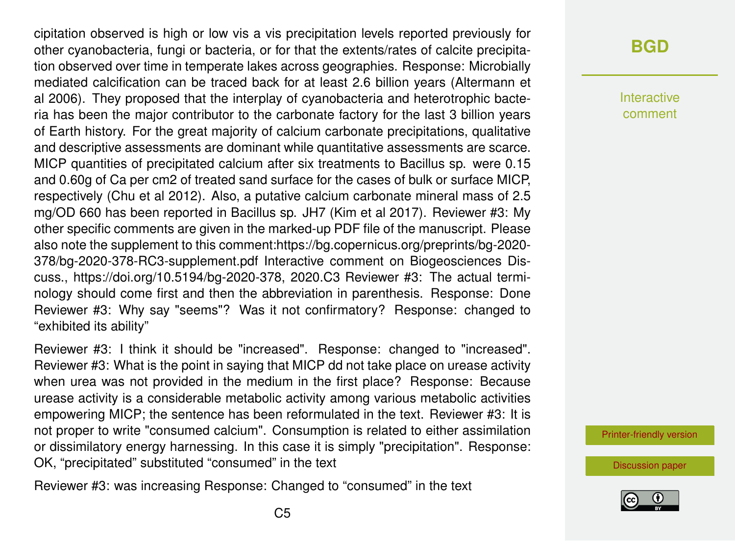cipitation observed is high or low vis a vis precipitation levels reported previously for other cyanobacteria, fungi or bacteria, or for that the extents/rates of calcite precipitation observed over time in temperate lakes across geographies. Response: Microbially mediated calcification can be traced back for at least 2.6 billion years (Altermann et al 2006). They proposed that the interplay of cyanobacteria and heterotrophic bacteria has been the major contributor to the carbonate factory for the last 3 billion years of Earth history. For the great majority of calcium carbonate precipitations, qualitative and descriptive assessments are dominant while quantitative assessments are scarce. MICP quantities of precipitated calcium after six treatments to Bacillus sp. were 0.15 and 0.60g of Ca per cm2 of treated sand surface for the cases of bulk or surface MICP, respectively (Chu et al 2012). Also, a putative calcium carbonate mineral mass of 2.5 mg/OD 660 has been reported in Bacillus sp. JH7 (Kim et al 2017). Reviewer #3: My other specific comments are given in the marked-up PDF file of the manuscript. Please also note the supplement to this comment:https://bg.copernicus.org/preprints/bg-2020- 378/bg-2020-378-RC3-supplement.pdf Interactive comment on Biogeosciences Discuss., https://doi.org/10.5194/bg-2020-378, 2020.C3 Reviewer #3: The actual terminology should come first and then the abbreviation in parenthesis. Response: Done Reviewer #3: Why say "seems"? Was it not confirmatory? Response: changed to "exhibited its ability"

Reviewer #3: I think it should be "increased". Response: changed to "increased". Reviewer #3: What is the point in saying that MICP dd not take place on urease activity when urea was not provided in the medium in the first place? Response: Because urease activity is a considerable metabolic activity among various metabolic activities empowering MICP; the sentence has been reformulated in the text. Reviewer #3: It is not proper to write "consumed calcium". Consumption is related to either assimilation or dissimilatory energy harnessing. In this case it is simply "precipitation". Response: OK, "precipitated" substituted "consumed" in the text

Reviewer #3: was increasing Response: Changed to "consumed" in the text

# **[BGD](https://bg.copernicus.org/preprints/)**

Interactive comment

[Printer-friendly version](https://bg.copernicus.org/preprints/bg-2020-378/bg-2020-378-AC6-print.pdf)

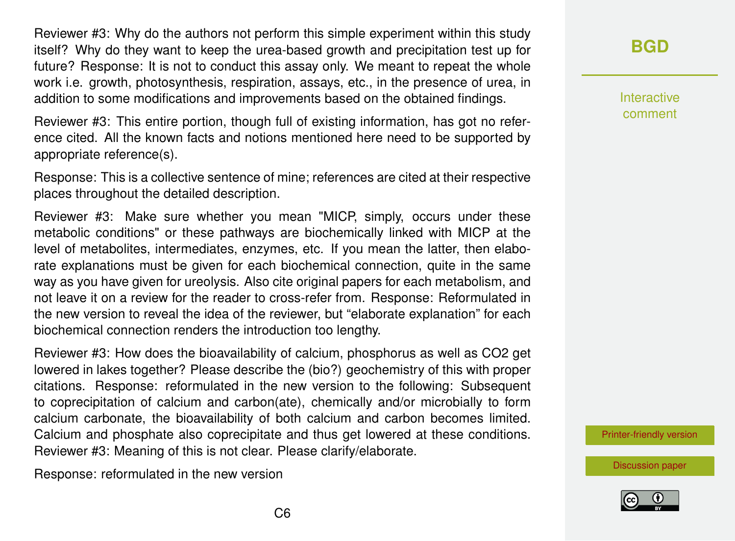Reviewer #3: Why do the authors not perform this simple experiment within this study itself? Why do they want to keep the urea-based growth and precipitation test up for future? Response: It is not to conduct this assay only. We meant to repeat the whole work i.e. growth, photosynthesis, respiration, assays, etc., in the presence of urea, in addition to some modifications and improvements based on the obtained findings.

Reviewer #3: This entire portion, though full of existing information, has got no reference cited. All the known facts and notions mentioned here need to be supported by appropriate reference(s).

Response: This is a collective sentence of mine; references are cited at their respective places throughout the detailed description.

Reviewer #3: Make sure whether you mean "MICP, simply, occurs under these metabolic conditions" or these pathways are biochemically linked with MICP at the level of metabolites, intermediates, enzymes, etc. If you mean the latter, then elaborate explanations must be given for each biochemical connection, quite in the same way as you have given for ureolysis. Also cite original papers for each metabolism, and not leave it on a review for the reader to cross-refer from. Response: Reformulated in the new version to reveal the idea of the reviewer, but "elaborate explanation" for each biochemical connection renders the introduction too lengthy.

Reviewer #3: How does the bioavailability of calcium, phosphorus as well as CO2 get lowered in lakes together? Please describe the (bio?) geochemistry of this with proper citations. Response: reformulated in the new version to the following: Subsequent to coprecipitation of calcium and carbon(ate), chemically and/or microbially to form calcium carbonate, the bioavailability of both calcium and carbon becomes limited. Calcium and phosphate also coprecipitate and thus get lowered at these conditions. Reviewer #3: Meaning of this is not clear. Please clarify/elaborate.

Response: reformulated in the new version

**[BGD](https://bg.copernicus.org/preprints/)**

Interactive comment

[Printer-friendly version](https://bg.copernicus.org/preprints/bg-2020-378/bg-2020-378-AC6-print.pdf)

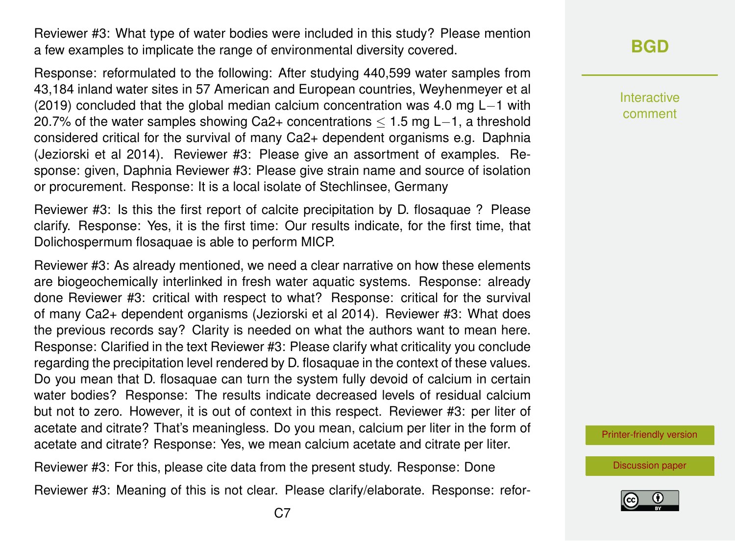Reviewer #3: What type of water bodies were included in this study? Please mention a few examples to implicate the range of environmental diversity covered.

Response: reformulated to the following: After studying 440,599 water samples from 43,184 inland water sites in 57 American and European countries, Weyhenmeyer et al (2019) concluded that the global median calcium concentration was 4.0 mg L−1 with 20.7% of the water samples showing Ca2+ concentrations ≤ 1.5 mg L−1, a threshold considered critical for the survival of many Ca2+ dependent organisms e.g. Daphnia (Jeziorski et al 2014). Reviewer #3: Please give an assortment of examples. Response: given, Daphnia Reviewer #3: Please give strain name and source of isolation or procurement. Response: It is a local isolate of Stechlinsee, Germany

Reviewer #3: Is this the first report of calcite precipitation by D. flosaquae ? Please clarify. Response: Yes, it is the first time: Our results indicate, for the first time, that Dolichospermum flosaquae is able to perform MICP.

Reviewer #3: As already mentioned, we need a clear narrative on how these elements are biogeochemically interlinked in fresh water aquatic systems. Response: already done Reviewer #3: critical with respect to what? Response: critical for the survival of many Ca2+ dependent organisms (Jeziorski et al 2014). Reviewer #3: What does the previous records say? Clarity is needed on what the authors want to mean here. Response: Clarified in the text Reviewer #3: Please clarify what criticality you conclude regarding the precipitation level rendered by D. flosaquae in the context of these values. Do you mean that D. flosaquae can turn the system fully devoid of calcium in certain water bodies? Response: The results indicate decreased levels of residual calcium but not to zero. However, it is out of context in this respect. Reviewer #3: per liter of acetate and citrate? That's meaningless. Do you mean, calcium per liter in the form of acetate and citrate? Response: Yes, we mean calcium acetate and citrate per liter.

Reviewer #3: For this, please cite data from the present study. Response: Done

Reviewer #3: Meaning of this is not clear. Please clarify/elaborate. Response: refor-

Interactive comment

[Printer-friendly version](https://bg.copernicus.org/preprints/bg-2020-378/bg-2020-378-AC6-print.pdf)